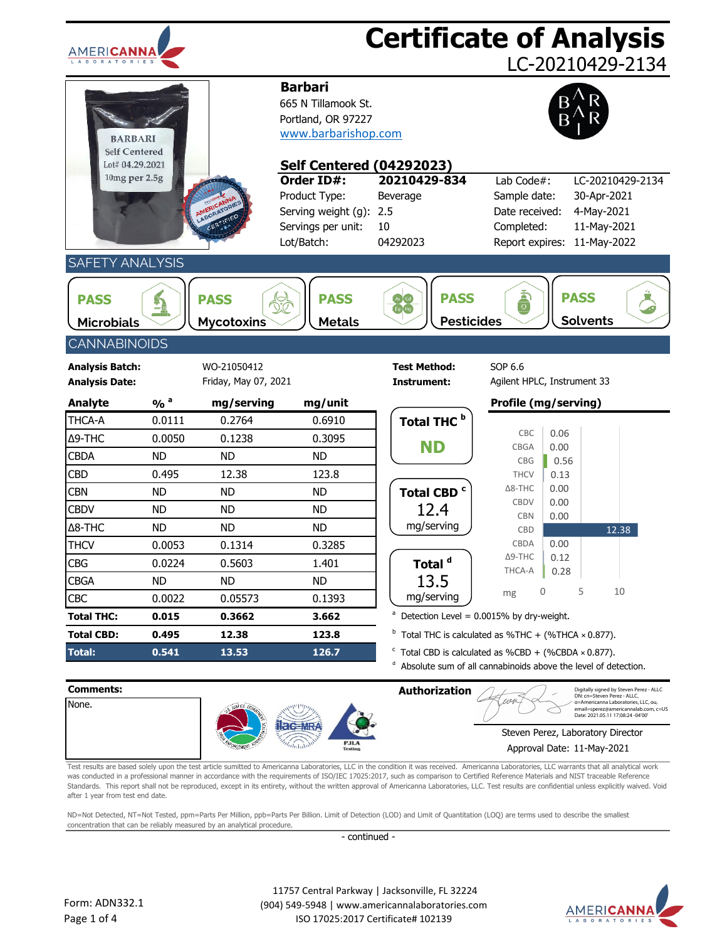| <b>AMERICANNA</b>                                          |                            |                                     |                                                                                                                       |                                                   | <b>Certificate of Analysis</b><br>LC-20210429-2134                                                                                                           |
|------------------------------------------------------------|----------------------------|-------------------------------------|-----------------------------------------------------------------------------------------------------------------------|---------------------------------------------------|--------------------------------------------------------------------------------------------------------------------------------------------------------------|
| <b>BARBARI</b><br>Self Centered<br>Lot# 04.29.2021         |                            |                                     | <b>Barbari</b><br>665 N Tillamook St.<br>Portland, OR 97227<br>www.barbarishop.com<br><b>Self Centered (04292023)</b> |                                                   |                                                                                                                                                              |
| 10mg per 2.5g                                              |                            |                                     | Order ID#:<br>Product Type:<br>Serving weight (g):<br>Servings per unit:<br>Lot/Batch:                                | 20210429-834<br>Beverage<br>2.5<br>10<br>04292023 | Lab Code#:<br>LC-20210429-2134<br>30-Apr-2021<br>Sample date:<br>Date received:<br>4-May-2021<br>11-May-2021<br>Completed:<br>11-May-2022<br>Report expires: |
| <b>SAFETY ANALYSIS</b><br><b>PASS</b><br><b>Microbials</b> | i.                         | <b>PASS</b><br><b>Mycotoxins</b>    | <b>PASS</b><br><b>Metals</b>                                                                                          | <b>PASS</b><br>e He<br><b>Pesticides</b>          | a<br>O<br><b>PASS</b><br><b>Solvents</b>                                                                                                                     |
| <b>CANNABINOIDS</b>                                        |                            |                                     |                                                                                                                       |                                                   |                                                                                                                                                              |
| <b>Analysis Batch:</b><br><b>Analysis Date:</b>            |                            | WO-21050412<br>Friday, May 07, 2021 |                                                                                                                       | <b>Test Method:</b><br>Instrument:                | SOP 6.6<br>Agilent HPLC, Instrument 33                                                                                                                       |
| Analyte                                                    | $\frac{9}{6}$ <sup>a</sup> | mg/serving                          | mg/unit                                                                                                               |                                                   | Profile (mg/serving)                                                                                                                                         |
| THCA-A                                                     | 0.0111                     | 0.2764                              | 0.6910                                                                                                                | Total THC <sup>b</sup>                            |                                                                                                                                                              |
| Δ9-THC                                                     | 0.0050                     | 0.1238                              | 0.3095                                                                                                                | ND                                                | CBC<br>0.06<br><b>CBGA</b><br>0.00                                                                                                                           |
| <b>CBDA</b>                                                | <b>ND</b>                  | <b>ND</b>                           | <b>ND</b>                                                                                                             |                                                   | CBG<br>0.56                                                                                                                                                  |
| <b>CBD</b>                                                 | 0.495                      | 12.38                               | 123.8                                                                                                                 |                                                   | <b>THCV</b><br>0.13                                                                                                                                          |
| <b>CBN</b>                                                 | <b>ND</b>                  | <b>ND</b>                           | <b>ND</b>                                                                                                             | Total CBD <sup>c</sup>                            | $\Delta$ 8-THC<br>0.00<br><b>CBDV</b><br>0.00                                                                                                                |
| <b>CBDV</b>                                                | <b>ND</b>                  | <b>ND</b>                           | <b>ND</b>                                                                                                             | 12.4                                              | <b>CBN</b><br>0.00                                                                                                                                           |
| $\Delta$ 8-THC                                             | <b>ND</b>                  | <b>ND</b>                           | <b>ND</b>                                                                                                             | mg/serving                                        | CBD<br>12.38                                                                                                                                                 |
| <b>THCV</b>                                                | 0.0053                     | 0.1314                              | 0.3285                                                                                                                |                                                   | CBDA<br>0.00                                                                                                                                                 |
| <b>CBG</b>                                                 | 0.0224                     | 0.5603                              | 1.401                                                                                                                 | Total <sup>a</sup>                                | $\Delta$ 9-THC<br>0.12<br>THCA-A                                                                                                                             |
| <b>CBGA</b>                                                | ND.                        | ND.                                 | ND                                                                                                                    | 13.5                                              | 0.28                                                                                                                                                         |
| <b>CBC</b>                                                 | 0.0022                     | 0.05573                             | 0.1393                                                                                                                | mg/serving                                        | 5<br>10<br>mg                                                                                                                                                |
| <b>Total THC:</b>                                          | 0.015                      | 0.3662                              | 3.662                                                                                                                 | a                                                 | Detection Level = 0.0015% by dry-weight.                                                                                                                     |
| <b>Total CBD:</b>                                          | 0.495                      | 12.38                               | 123.8                                                                                                                 |                                                   | $b$ Total THC is calculated as %THC + (%THCA $\times$ 0.877).                                                                                                |
| <b>Total:</b>                                              | 0.541                      | 13.53                               | 126.7                                                                                                                 | d                                                 | $\textdegree$ Total CBD is calculated as %CBD + (%CBDA × 0.877).<br>Absolute sum of all cannabinoids above the level of detection.                           |
| Comments:                                                  |                            |                                     |                                                                                                                       | <b>Authorization</b>                              | Digitally signed by Steven Perez - ALLC<br>DN: cn=Steven Perez - ALLC.                                                                                       |
| <b>Name</b>                                                |                            |                                     |                                                                                                                       |                                                   | noricanna Laboratories LLC                                                                                                                                   |



Test results are based solely upon the test article sumitted to Americanna Laboratories, LLC in the condition it was received. Americanna Laboratories, LLC warrants that all analytical work was conducted in a professional manner in accordance with the requirements of ISO/IEC 17025:2017, such as comparison to Certified Reference Materials and NIST traceable Reference Standards. This report shall not be reproduced, except in its entirety, without the written approval of Americanna Laboratories, LLC. Test results are confidential unless explicitly waived. Void after 1 year from test end date.

ND=Not Detected, NT=Not Tested, ppm=Parts Per Million, ppb=Parts Per Billion. Limit of Detection (LOD) and Limit of Quantitation (LOQ) are terms used to describe the smallest concentration that can be reliably measured by an analytical procedure.

- continued -

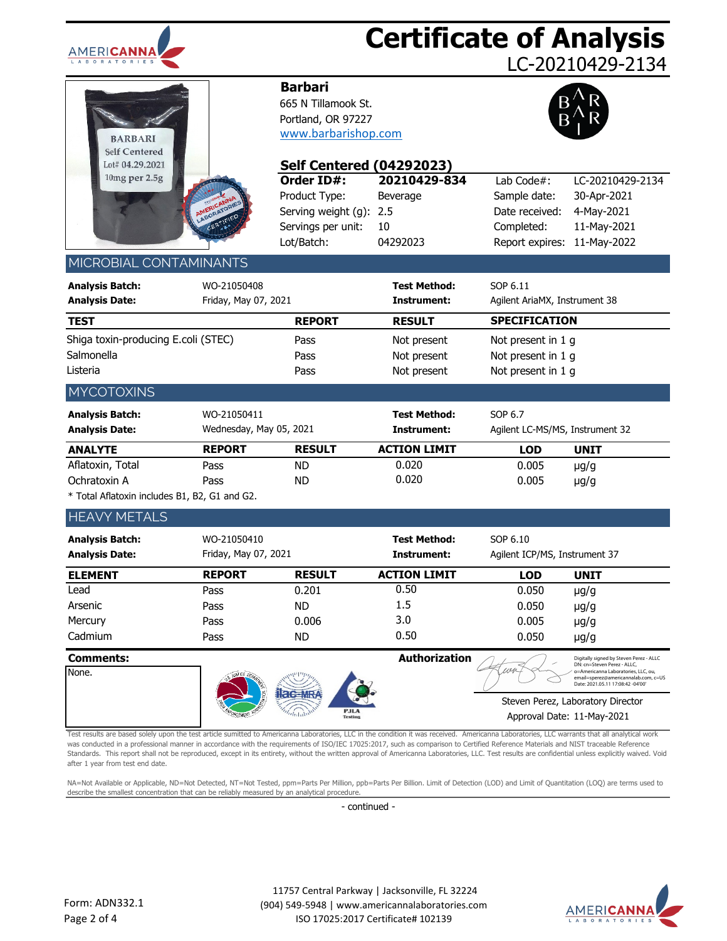

## **Certificate of Analysis**

LC-20210429-2134

| <b>BARBARI</b><br><b>Self Centered</b><br>Lot# 04.29.2021<br>10mg per 2.5g |                                         |
|----------------------------------------------------------------------------|-----------------------------------------|
|                                                                            | AMERICANNA<br>LABORATORIES<br>CERTIFIED |

### **Barbari**

665 N Tillamook St. Portland, OR 97227 [www.barbarishop.com](http://www.teatagsandthings.com/)



| Lot# 04.29.2021                                                                                                                                                                                                                                                                                                                                                                                                                                                                                                                                                                                                               |                                                                                                                         | <b>Self Centered</b><br>(04292023)                                                     |                                                   |                                                                               |                                                                                                                                                 |
|-------------------------------------------------------------------------------------------------------------------------------------------------------------------------------------------------------------------------------------------------------------------------------------------------------------------------------------------------------------------------------------------------------------------------------------------------------------------------------------------------------------------------------------------------------------------------------------------------------------------------------|-------------------------------------------------------------------------------------------------------------------------|----------------------------------------------------------------------------------------|---------------------------------------------------|-------------------------------------------------------------------------------|-------------------------------------------------------------------------------------------------------------------------------------------------|
| $10mg$ per $2.5g$                                                                                                                                                                                                                                                                                                                                                                                                                                                                                                                                                                                                             | ABORATORIE                                                                                                              | Order ID#:<br>Product Type:<br>Serving weight (g):<br>Servings per unit:<br>Lot/Batch: | 20210429-834<br>Beverage<br>2.5<br>10<br>04292023 | Lab Code#:<br>Sample date:<br>Date received:<br>Completed:<br>Report expires: | LC-20210429-2134<br>30-Apr-2021<br>4-May-2021<br>11-May-2021<br>11-May-2022                                                                     |
| MICROBIAL CONTAMINANTS                                                                                                                                                                                                                                                                                                                                                                                                                                                                                                                                                                                                        |                                                                                                                         |                                                                                        |                                                   |                                                                               |                                                                                                                                                 |
| <b>Analysis Batch:</b><br><b>Analysis Date:</b>                                                                                                                                                                                                                                                                                                                                                                                                                                                                                                                                                                               | WO-21050408<br>Friday, May 07, 2021                                                                                     |                                                                                        | <b>Test Method:</b><br>Instrument:                | SOP 6.11<br>Agilent AriaMX, Instrument 38                                     |                                                                                                                                                 |
| <b>TEST</b>                                                                                                                                                                                                                                                                                                                                                                                                                                                                                                                                                                                                                   |                                                                                                                         | <b>REPORT</b>                                                                          | <b>RESULT</b>                                     | <b>SPECIFICATION</b>                                                          |                                                                                                                                                 |
| Shiga toxin-producing E.coli (STEC)<br>Salmonella<br>Listeria                                                                                                                                                                                                                                                                                                                                                                                                                                                                                                                                                                 |                                                                                                                         | Pass<br>Pass<br>Pass                                                                   | Not present<br>Not present<br>Not present         | Not present in 1 g<br>Not present in 1 g<br>Not present in 1 g                |                                                                                                                                                 |
| <b>MYCOTOXINS</b>                                                                                                                                                                                                                                                                                                                                                                                                                                                                                                                                                                                                             |                                                                                                                         |                                                                                        |                                                   |                                                                               |                                                                                                                                                 |
| <b>Analysis Batch:</b><br><b>Analysis Date:</b>                                                                                                                                                                                                                                                                                                                                                                                                                                                                                                                                                                               | WO-21050411<br>Wednesday, May 05, 2021                                                                                  |                                                                                        | <b>Test Method:</b><br>Instrument:                | SOP 6.7<br>Agilent LC-MS/MS, Instrument 32                                    |                                                                                                                                                 |
| <b>ANALYTE</b>                                                                                                                                                                                                                                                                                                                                                                                                                                                                                                                                                                                                                | <b>REPORT</b>                                                                                                           | <b>RESULT</b>                                                                          | <b>ACTION LIMIT</b>                               | <b>LOD</b>                                                                    | <b>UNIT</b>                                                                                                                                     |
| Aflatoxin, Total<br>Ochratoxin A<br>* Total Aflatoxin includes B1, B2, G1 and G2.                                                                                                                                                                                                                                                                                                                                                                                                                                                                                                                                             | Pass<br>Pass                                                                                                            | <b>ND</b><br><b>ND</b>                                                                 | 0.020<br>0.020                                    | 0.005<br>0.005                                                                | $\mu$ g/g<br>$\mu$ g/g                                                                                                                          |
| <b>HEAVY METALS</b>                                                                                                                                                                                                                                                                                                                                                                                                                                                                                                                                                                                                           |                                                                                                                         |                                                                                        |                                                   |                                                                               |                                                                                                                                                 |
|                                                                                                                                                                                                                                                                                                                                                                                                                                                                                                                                                                                                                               |                                                                                                                         |                                                                                        |                                                   |                                                                               |                                                                                                                                                 |
| <b>Analysis Batch:</b><br><b>Analysis Date:</b>                                                                                                                                                                                                                                                                                                                                                                                                                                                                                                                                                                               | WO-21050410<br>Friday, May 07, 2021                                                                                     |                                                                                        | <b>Test Method:</b><br>Instrument:                | SOP 6.10<br>Agilent ICP/MS, Instrument 37                                     |                                                                                                                                                 |
| <b>ELEMENT</b>                                                                                                                                                                                                                                                                                                                                                                                                                                                                                                                                                                                                                | <b>REPORT</b>                                                                                                           | <b>RESULT</b>                                                                          | <b>ACTION LIMIT</b>                               | <b>LOD</b>                                                                    | <b>UNIT</b>                                                                                                                                     |
| Lead<br>Arsenic<br>Mercury<br>Cadmium                                                                                                                                                                                                                                                                                                                                                                                                                                                                                                                                                                                         | Pass<br>Pass<br>Pass<br>Pass                                                                                            | 0.201<br><b>ND</b><br>0.006<br><b>ND</b>                                               | 0.50<br>1.5<br>3.0<br>0.50                        | 0.050<br>0.050<br>0.005<br>0.050                                              | $\mu$ g/g<br>$\mu$ g/g<br>$\mu$ g/g<br>$\mu$ g/g                                                                                                |
| <b>Comments:</b>                                                                                                                                                                                                                                                                                                                                                                                                                                                                                                                                                                                                              |                                                                                                                         |                                                                                        | Authorization                                     |                                                                               | Digitally signed by Steven Perez - ALLC                                                                                                         |
| None.                                                                                                                                                                                                                                                                                                                                                                                                                                                                                                                                                                                                                         |                                                                                                                         |                                                                                        |                                                   |                                                                               | DN: cn=Steven Perez - ALLC,<br>o=Americanna Laboratories, LLC, ou,<br>email=sperez@americannalab.com, c=US<br>Date: 2021.05.11 17:08:42 -04'00' |
|                                                                                                                                                                                                                                                                                                                                                                                                                                                                                                                                                                                                                               |                                                                                                                         | <b>PJLA</b>                                                                            |                                                   | Approval Date: 11-May-2021                                                    | Steven Perez, Laboratory Director                                                                                                               |
| Test results are based solely upon the test article sumitted to Americanna Laboratories, LLC in the condition it was received. Americanna Laboratories, LLC warrants that all analytical work<br>was conducted in a professional manner in accordance with the requirements of ISO/IEC 17025:2017, such as comparison to Certified Reference Materials and NIST traceable Reference<br>Standards. This report shall not be reproduced, except in its entirety, without the written approval of Americanna Laboratories, LLC. Test results are confidential unless explicitly waived. Void<br>after 1 year from test end date. |                                                                                                                         |                                                                                        |                                                   |                                                                               |                                                                                                                                                 |
| NA=Not Available or Applicable, ND=Not Detected, NT=Not Tested, ppm=Parts Per Million, ppb=Parts Per Billion. Limit of Detection (LOD) and Limit of Quantitation (LOQ) are terms used to<br>describe the smallest concentration that can be reliably measured by an analytical procedure.                                                                                                                                                                                                                                                                                                                                     |                                                                                                                         |                                                                                        |                                                   |                                                                               |                                                                                                                                                 |
|                                                                                                                                                                                                                                                                                                                                                                                                                                                                                                                                                                                                                               |                                                                                                                         | - continued -                                                                          |                                                   |                                                                               |                                                                                                                                                 |
|                                                                                                                                                                                                                                                                                                                                                                                                                                                                                                                                                                                                                               |                                                                                                                         |                                                                                        | 11757 Central Parkway   Jacksonville, FL 32224    |                                                                               |                                                                                                                                                 |
| orm: ADN332.1-<br>age 2 of 4                                                                                                                                                                                                                                                                                                                                                                                                                                                                                                                                                                                                  | (904) 549-5948   www.americannalaboratories.com<br>AMERICA<br>ISO 17025:2017 Certificate# 102139<br>L A B O R A T O R I |                                                                                        |                                                   |                                                                               |                                                                                                                                                 |

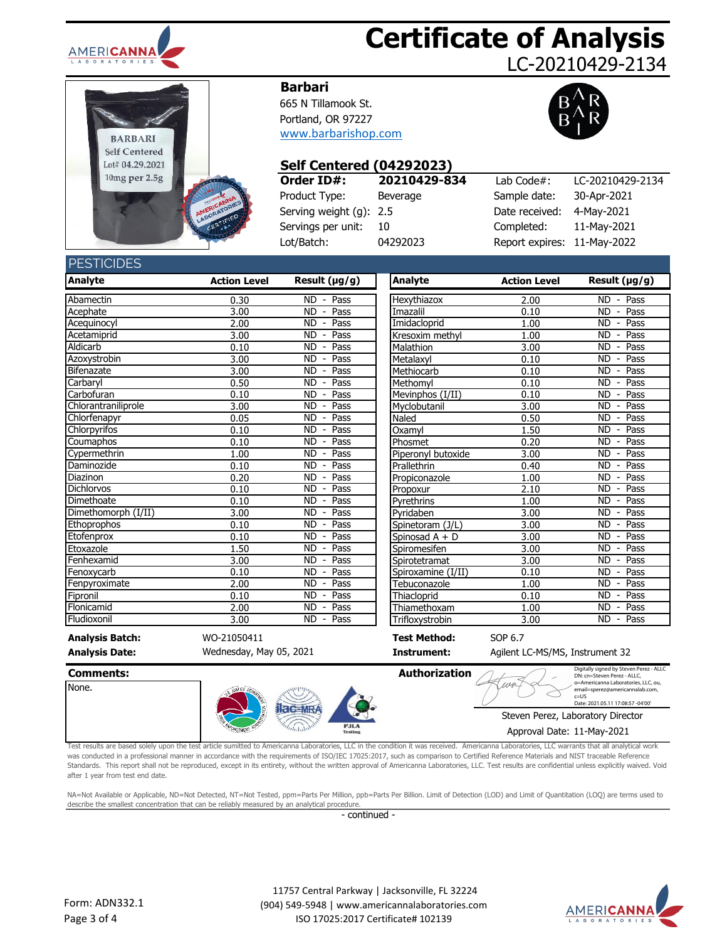

# **Certificate of Analysis**

LC-20210429-2134



#### **Barbari**

665 N Tillamook St. Portland, OR 97227 [www.barbarishop.com](http://www.teatagsandthings.com/)



#### **Self Centered (04292023)**

| Order ID#:                 | 20210429-834 | Lab Code $#$ :              | LC-20210429-2134 |
|----------------------------|--------------|-----------------------------|------------------|
| Product Type:              | Beverage     | Sample date:                | 30-Apr-2021      |
| Serving weight $(q)$ : 2.5 |              | Date received:              | 4-May-2021       |
| Servings per unit:         | -10          | Completed:                  | 11-May-2021      |
| Lot/Batch:                 | 04292023     | Report expires: 11-May-2022 |                  |

#### Sample date: 30-Apr-2021 Date received: 4-May-2021 Completed: 11-May-2021 Report expires: 11-May-2022 Lab Code#:

**PESTICIDES** 

| <b>Analyte</b>         | <b>Action Level</b> | Result (µg/g)                                 | Analyte             | <b>Action Level</b> | Result $(\mu g/g)$                            |
|------------------------|---------------------|-----------------------------------------------|---------------------|---------------------|-----------------------------------------------|
| Abamectin              | 0.30                | <b>ND</b><br>$-$ Pass                         | Hexythiazox         | 2.00                | $ND -$<br>Pass                                |
| Acephate               | 3.00                | Pass<br>ND.<br>$\blacksquare$                 | Imazalil            | 0.10                | Pass<br><b>ND</b>                             |
| Acequinocyl            | 2.00                | <b>ND</b><br>Pass<br>$\blacksquare$           | Imidacloprid        | 1.00                | <b>ND</b><br>Pass<br>$\overline{\phantom{a}}$ |
| Acetamiprid            | 3.00                | <b>ND</b><br>Pass<br>$\overline{\phantom{a}}$ | Kresoxim methvl     | 1.00                | <b>ND</b><br>Pass<br>$\overline{\phantom{a}}$ |
| Aldicarb               | 0.10                | <b>ND</b><br>Pass<br>$\blacksquare$           | Malathion           | 3.00                | <b>ND</b><br>Pass<br>$\overline{\phantom{a}}$ |
| Azoxystrobin           | 3.00                | <b>ND</b><br>Pass<br>$\overline{\phantom{a}}$ | Metalaxyl           | 0.10                | <b>ND</b><br>Pass<br>$\overline{\phantom{a}}$ |
| Bifenazate             | 3.00                | <b>ND</b><br>Pass<br>$\blacksquare$           | Methiocarb          | 0.10                | <b>ND</b><br>Pass<br>$\blacksquare$           |
| Carbaryl               | 0.50                | Pass<br><b>ND</b><br>$\overline{\phantom{a}}$ | Methomvl            | 0.10                | <b>ND</b><br>Pass<br>$\overline{\phantom{a}}$ |
| Carbofuran             | 0.10                | <b>ND</b><br>Pass<br>$\overline{\phantom{a}}$ | Mevinphos $(I/II)$  | 0.10                | <b>ND</b><br>Pass<br>$\overline{\phantom{a}}$ |
| Chlorantraniliprole    | 3.00                | <b>ND</b><br>Pass                             | Myclobutanil        | 3.00                | <b>ND</b><br>Pass                             |
| Chlorfenapyr           | 0.05                | Pass<br><b>ND</b><br>$\overline{\phantom{a}}$ | Naled               | 0.50                | <b>ND</b><br>Pass<br>$\overline{\phantom{a}}$ |
| Chlorpyrifos           | 0.10                | <b>ND</b><br>Pass<br>$\overline{\phantom{a}}$ | Oxamyl              | 1.50                | <b>ND</b><br>Pass<br>$\overline{\phantom{a}}$ |
| Coumaphos              | 0.10                | <b>ND</b><br>Pass<br>$\overline{\phantom{a}}$ | Phosmet             | 0.20                | <b>ND</b><br>Pass<br>$\overline{\phantom{a}}$ |
| Cypermethrin           | 1.00                | <b>ND</b><br>Pass<br>$\overline{\phantom{a}}$ | Piperonyl butoxide  | 3.00                | <b>ND</b><br>Pass<br>$\overline{\phantom{a}}$ |
| Daminozide             | 0.10                | <b>ND</b><br>Pass<br>$\blacksquare$           | Prallethrin         | 0.40                | <b>ND</b><br>Pass                             |
| Diazinon               | 0.20                | Pass<br><b>ND</b><br>$\overline{\phantom{a}}$ | Propiconazole       | 1.00                | <b>ND</b><br>Pass<br>$\blacksquare$           |
| <b>Dichlorvos</b>      | 0.10                | <b>ND</b><br>Pass<br>$\overline{\phantom{a}}$ | Propoxur            | 2.10                | Pass<br><b>ND</b>                             |
| Dimethoate             | 0.10                | <b>ND</b><br>Pass<br>$\overline{\phantom{a}}$ | Pyrethrins          | 1.00                | <b>ND</b><br>Pass<br>$\overline{\phantom{a}}$ |
| Dimethomorph (I/II)    | 3.00                | Pass<br><b>ND</b><br>$\overline{\phantom{a}}$ | Pyridaben           | 3.00                | Pass<br>ND.<br>$\overline{\phantom{a}}$       |
| Ethoprophos            | 0.10                | ND.<br>Pass<br>$\blacksquare$                 | Spinetoram (J/L)    | 3.00                | ND<br>Pass<br>$\blacksquare$                  |
| Etofenprox             | 0.10                | <b>ND</b><br>Pass<br>$\overline{\phantom{a}}$ | Spinosad $A + D$    | 3.00                | <b>ND</b><br>Pass                             |
| Etoxazole              | 1.50                | <b>ND</b><br>Pass<br>$\overline{\phantom{a}}$ | Spiromesifen        | 3.00                | <b>ND</b><br>Pass<br>$\overline{\phantom{a}}$ |
| Fenhexamid             | 3.00                | <b>ND</b><br>Pass<br>$\overline{\phantom{a}}$ | Spirotetramat       | 3.00                | <b>ND</b><br>Pass<br>$\overline{\phantom{a}}$ |
| Fenoxycarb             | 0.10                | Pass<br><b>ND</b><br>$\overline{\phantom{a}}$ | Spiroxamine (I/II)  | 0.10                | Pass<br><b>ND</b><br>$\overline{\phantom{a}}$ |
| Fenpyroximate          | 2.00                | <b>ND</b><br>Pass<br>$\overline{a}$           | Tebuconazole        | 1.00                | <b>ND</b><br>Pass                             |
| Fipronil               | 0.10                | <b>ND</b><br>Pass<br>$\overline{\phantom{a}}$ | Thiacloprid         | 0.10                | <b>ND</b><br>Pass<br>$\overline{\phantom{a}}$ |
| Flonicamid             | 2.00                | Pass<br><b>ND</b><br>$\overline{\phantom{a}}$ | Thiamethoxam        | 1.00                | <b>ND</b><br>Pass<br>$\overline{\phantom{a}}$ |
| Fludioxonil            | 3.00                | ND.<br>Pass<br>$\blacksquare$                 | Trifloxystrobin     | 3.00                | Pass<br>ND.<br>$\blacksquare$                 |
| <b>Analysis Batch:</b> | WO-21050411         |                                               | <b>Test Method:</b> | SOP 6.7             |                                               |

None.

Wednesday, May 05, 2021

**Comments: Authorization**

**Analysis Date: Instrument:** Agilent LC-MS/MS, Instrument 32

Digitally signed by Steven Perez - ALLC<br>DN: cn=Steven Perez - ALLC,<br>o=Americanna Laboratories, LLC, ou o=Americanna Laboratories, LLC, ou, email=sperez@americannalab.com, c=US

Steven Perez, Laboratory Director Date: 2021.05.11 17:08:57 -04'00'

Approval Date: 11-May-2021

Test results are based solely upon the test article sumitted to Americanna Laboratories, LLC in the condition it was received. Americanna Laboratories, LLC warrants that all analytical work was conducted in a professional manner in accordance with the requirements of ISO/IEC 17025:2017, such as comparison to Certified Reference Materials and NIST traceable Reference Standards. This report shall not be reproduced, except in its entirety, without the written approval of Americanna Laboratories, LLC. Test results are confidential unless explicitly waived. Void after 1 year from test end date. **Authorization**<br>
Digitally signed by Steven Perez ALLC<br>
The constress that the condition is the condition of the condition of the condition of the condition of the condition of the condition of the condition of the conditi

NA=Not Available or Applicable, ND=Not Detected, NT=Not Tested, ppm=Parts Per Million, ppb=Parts Per Billion. Limit of Detection (LOD) and Limit of Quantitation (LOQ) are terms used to describe the smallest concentration that can be reliably measured by an analytical procedure.

- continued -